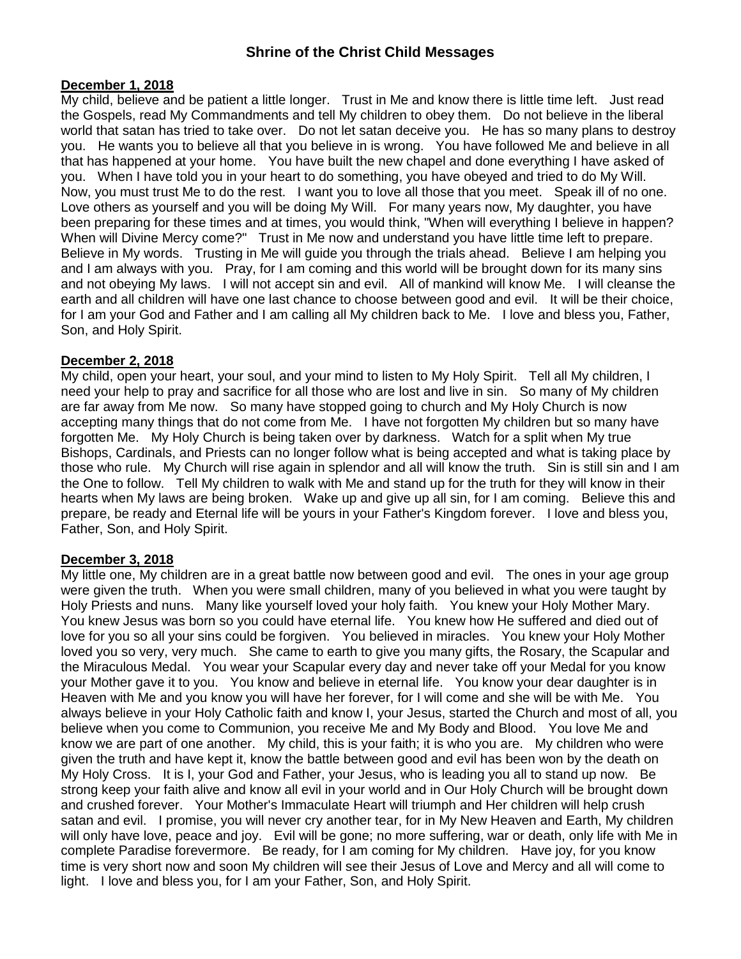#### **December 1, 2018**

My child, believe and be patient a little longer. Trust in Me and know there is little time left. Just read the Gospels, read My Commandments and tell My children to obey them. Do not believe in the liberal world that satan has tried to take over. Do not let satan deceive you. He has so many plans to destroy you. He wants you to believe all that you believe in is wrong. You have followed Me and believe in all that has happened at your home. You have built the new chapel and done everything I have asked of you. When I have told you in your heart to do something, you have obeyed and tried to do My Will. Now, you must trust Me to do the rest. I want you to love all those that you meet. Speak ill of no one. Love others as yourself and you will be doing My Will. For many years now, My daughter, you have been preparing for these times and at times, you would think, "When will everything I believe in happen? When will Divine Mercy come?" Trust in Me now and understand you have little time left to prepare. Believe in My words. Trusting in Me will guide you through the trials ahead. Believe I am helping you and I am always with you. Pray, for I am coming and this world will be brought down for its many sins and not obeying My laws. I will not accept sin and evil. All of mankind will know Me. I will cleanse the earth and all children will have one last chance to choose between good and evil. It will be their choice, for I am your God and Father and I am calling all My children back to Me. I love and bless you, Father, Son, and Holy Spirit.

### **December 2, 2018**

My child, open your heart, your soul, and your mind to listen to My Holy Spirit. Tell all My children, I need your help to pray and sacrifice for all those who are lost and live in sin. So many of My children are far away from Me now. So many have stopped going to church and My Holy Church is now accepting many things that do not come from Me. I have not forgotten My children but so many have forgotten Me. My Holy Church is being taken over by darkness. Watch for a split when My true Bishops, Cardinals, and Priests can no longer follow what is being accepted and what is taking place by those who rule. My Church will rise again in splendor and all will know the truth. Sin is still sin and I am the One to follow. Tell My children to walk with Me and stand up for the truth for they will know in their hearts when My laws are being broken. Wake up and give up all sin, for I am coming. Believe this and prepare, be ready and Eternal life will be yours in your Father's Kingdom forever. I love and bless you, Father, Son, and Holy Spirit.

### **December 3, 2018**

My little one, My children are in a great battle now between good and evil. The ones in your age group were given the truth. When you were small children, many of you believed in what you were taught by Holy Priests and nuns. Many like yourself loved your holy faith. You knew your Holy Mother Mary. You knew Jesus was born so you could have eternal life. You knew how He suffered and died out of love for you so all your sins could be forgiven. You believed in miracles. You knew your Holy Mother loved you so very, very much. She came to earth to give you many gifts, the Rosary, the Scapular and the Miraculous Medal. You wear your Scapular every day and never take off your Medal for you know your Mother gave it to you. You know and believe in eternal life. You know your dear daughter is in Heaven with Me and you know you will have her forever, for I will come and she will be with Me. You always believe in your Holy Catholic faith and know I, your Jesus, started the Church and most of all, you believe when you come to Communion, you receive Me and My Body and Blood. You love Me and know we are part of one another. My child, this is your faith; it is who you are. My children who were given the truth and have kept it, know the battle between good and evil has been won by the death on My Holy Cross. It is I, your God and Father, your Jesus, who is leading you all to stand up now. Be strong keep your faith alive and know all evil in your world and in Our Holy Church will be brought down and crushed forever. Your Mother's Immaculate Heart will triumph and Her children will help crush satan and evil. I promise, you will never cry another tear, for in My New Heaven and Earth, My children will only have love, peace and joy. Evil will be gone; no more suffering, war or death, only life with Me in complete Paradise forevermore. Be ready, for I am coming for My children. Have joy, for you know time is very short now and soon My children will see their Jesus of Love and Mercy and all will come to light. I love and bless you, for I am your Father, Son, and Holy Spirit.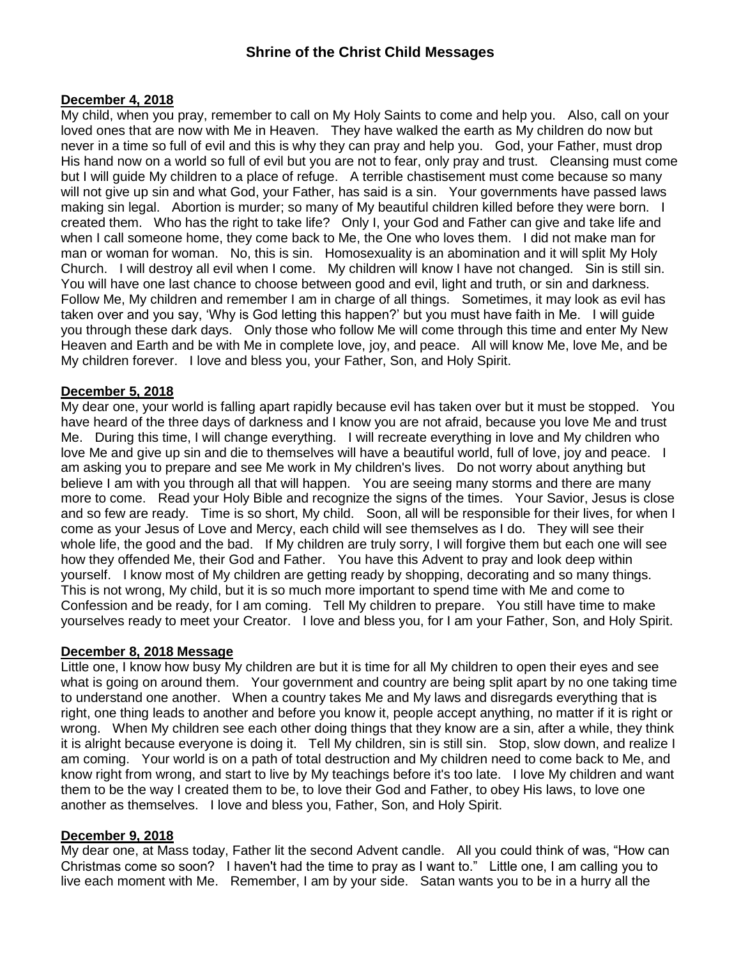### **December 4, 2018**

My child, when you pray, remember to call on My Holy Saints to come and help you. Also, call on your loved ones that are now with Me in Heaven. They have walked the earth as My children do now but never in a time so full of evil and this is why they can pray and help you. God, your Father, must drop His hand now on a world so full of evil but you are not to fear, only pray and trust. Cleansing must come but I will guide My children to a place of refuge. A terrible chastisement must come because so many will not give up sin and what God, your Father, has said is a sin. Your governments have passed laws making sin legal. Abortion is murder; so many of My beautiful children killed before they were born. I created them. Who has the right to take life? Only I, your God and Father can give and take life and when I call someone home, they come back to Me, the One who loves them. I did not make man for man or woman for woman. No, this is sin. Homosexuality is an abomination and it will split My Holy Church. I will destroy all evil when I come. My children will know I have not changed. Sin is still sin. You will have one last chance to choose between good and evil, light and truth, or sin and darkness. Follow Me, My children and remember I am in charge of all things. Sometimes, it may look as evil has taken over and you say, 'Why is God letting this happen?' but you must have faith in Me. I will guide you through these dark days. Only those who follow Me will come through this time and enter My New Heaven and Earth and be with Me in complete love, joy, and peace. All will know Me, love Me, and be My children forever. I love and bless you, your Father, Son, and Holy Spirit.

### **December 5, 2018**

My dear one, your world is falling apart rapidly because evil has taken over but it must be stopped. You have heard of the three days of darkness and I know you are not afraid, because you love Me and trust Me. During this time, I will change everything. I will recreate everything in love and My children who love Me and give up sin and die to themselves will have a beautiful world, full of love, jov and peace. I am asking you to prepare and see Me work in My children's lives. Do not worry about anything but believe I am with you through all that will happen. You are seeing many storms and there are many more to come. Read your Holy Bible and recognize the signs of the times. Your Savior, Jesus is close and so few are ready. Time is so short, My child. Soon, all will be responsible for their lives, for when I come as your Jesus of Love and Mercy, each child will see themselves as I do. They will see their whole life, the good and the bad. If My children are truly sorry, I will forgive them but each one will see how they offended Me, their God and Father. You have this Advent to pray and look deep within yourself. I know most of My children are getting ready by shopping, decorating and so many things. This is not wrong, My child, but it is so much more important to spend time with Me and come to Confession and be ready, for I am coming. Tell My children to prepare. You still have time to make yourselves ready to meet your Creator. I love and bless you, for I am your Father, Son, and Holy Spirit.

### **December 8, 2018 Message**

Little one, I know how busy My children are but it is time for all My children to open their eyes and see what is going on around them. Your government and country are being split apart by no one taking time to understand one another. When a country takes Me and My laws and disregards everything that is right, one thing leads to another and before you know it, people accept anything, no matter if it is right or wrong. When My children see each other doing things that they know are a sin, after a while, they think it is alright because everyone is doing it. Tell My children, sin is still sin. Stop, slow down, and realize I am coming. Your world is on a path of total destruction and My children need to come back to Me, and know right from wrong, and start to live by My teachings before it's too late. I love My children and want them to be the way I created them to be, to love their God and Father, to obey His laws, to love one another as themselves. I love and bless you, Father, Son, and Holy Spirit.

### **December 9, 2018**

My dear one, at Mass today, Father lit the second Advent candle. All you could think of was, "How can Christmas come so soon? I haven't had the time to pray as I want to." Little one, I am calling you to live each moment with Me. Remember, I am by your side. Satan wants you to be in a hurry all the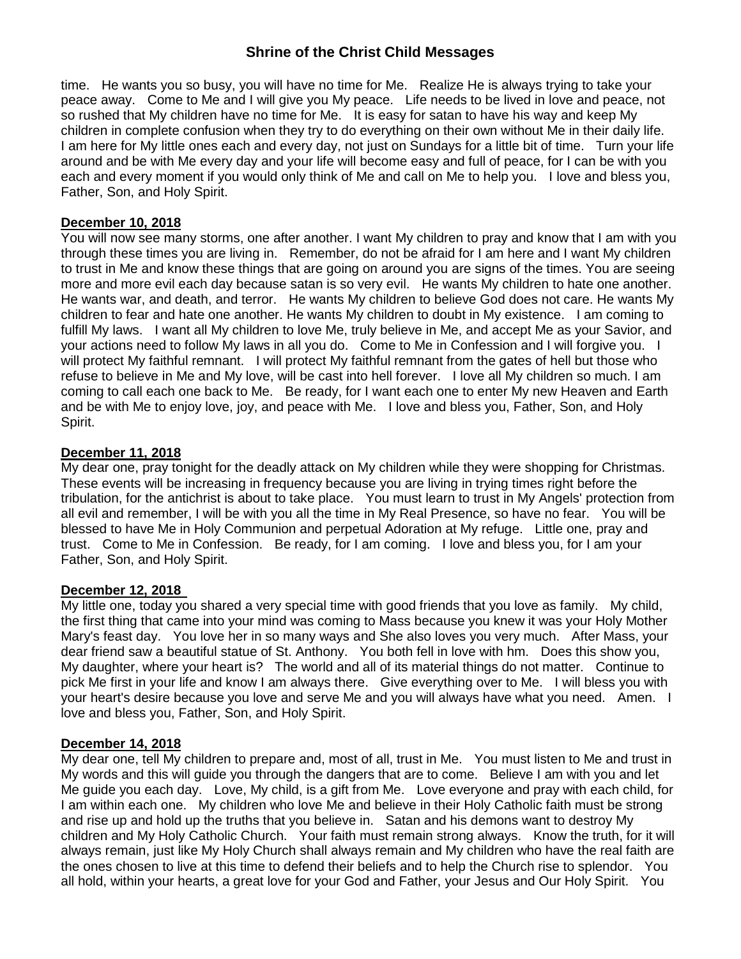time. He wants you so busy, you will have no time for Me. Realize He is always trying to take your peace away. Come to Me and I will give you My peace. Life needs to be lived in love and peace, not so rushed that My children have no time for Me. It is easy for satan to have his way and keep My children in complete confusion when they try to do everything on their own without Me in their daily life. I am here for My little ones each and every day, not just on Sundays for a little bit of time. Turn your life around and be with Me every day and your life will become easy and full of peace, for I can be with you each and every moment if you would only think of Me and call on Me to help you. I love and bless you, Father, Son, and Holy Spirit.

### **December 10, 2018**

You will now see many storms, one after another. I want My children to pray and know that I am with you through these times you are living in. Remember, do not be afraid for I am here and I want My children to trust in Me and know these things that are going on around you are signs of the times. You are seeing more and more evil each day because satan is so very evil. He wants My children to hate one another. He wants war, and death, and terror. He wants My children to believe God does not care. He wants My children to fear and hate one another. He wants My children to doubt in My existence. I am coming to fulfill My laws. I want all My children to love Me, truly believe in Me, and accept Me as your Savior, and your actions need to follow My laws in all you do. Come to Me in Confession and I will forgive you. I will protect My faithful remnant. I will protect My faithful remnant from the gates of hell but those who refuse to believe in Me and My love, will be cast into hell forever. I love all My children so much. I am coming to call each one back to Me. Be ready, for I want each one to enter My new Heaven and Earth and be with Me to enjoy love, joy, and peace with Me. I love and bless you, Father, Son, and Holy Spirit.

### **December 11, 2018**

My dear one, pray tonight for the deadly attack on My children while they were shopping for Christmas. These events will be increasing in frequency because you are living in trying times right before the tribulation, for the antichrist is about to take place. You must learn to trust in My Angels' protection from all evil and remember, I will be with you all the time in My Real Presence, so have no fear. You will be blessed to have Me in Holy Communion and perpetual Adoration at My refuge. Little one, pray and trust. Come to Me in Confession. Be ready, for I am coming. I love and bless you, for I am your Father, Son, and Holy Spirit.

### **December 12, 2018**

My little one, today you shared a very special time with good friends that you love as family. My child, the first thing that came into your mind was coming to Mass because you knew it was your Holy Mother Mary's feast day. You love her in so many ways and She also loves you very much. After Mass, your dear friend saw a beautiful statue of St. Anthony. You both fell in love with hm. Does this show you, My daughter, where your heart is? The world and all of its material things do not matter. Continue to pick Me first in your life and know I am always there. Give everything over to Me. I will bless you with your heart's desire because you love and serve Me and you will always have what you need. Amen. I love and bless you, Father, Son, and Holy Spirit.

### **December 14, 2018**

My dear one, tell My children to prepare and, most of all, trust in Me. You must listen to Me and trust in My words and this will guide you through the dangers that are to come. Believe I am with you and let Me guide you each day. Love, My child, is a gift from Me. Love everyone and pray with each child, for I am within each one. My children who love Me and believe in their Holy Catholic faith must be strong and rise up and hold up the truths that you believe in. Satan and his demons want to destroy My children and My Holy Catholic Church. Your faith must remain strong always. Know the truth, for it will always remain, just like My Holy Church shall always remain and My children who have the real faith are the ones chosen to live at this time to defend their beliefs and to help the Church rise to splendor. You all hold, within your hearts, a great love for your God and Father, your Jesus and Our Holy Spirit. You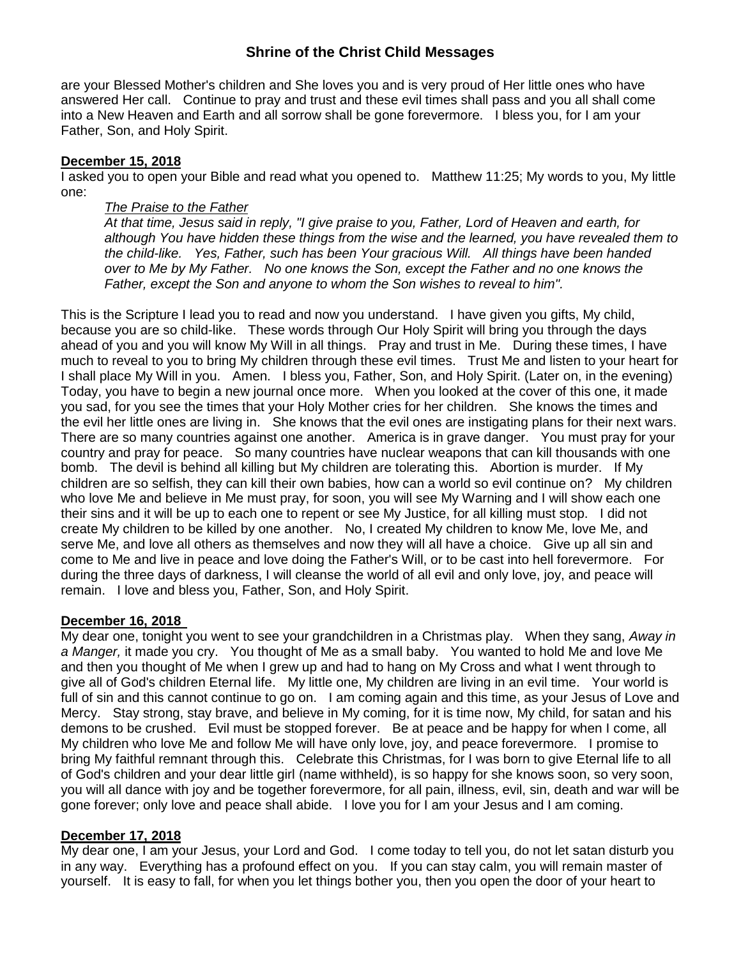are your Blessed Mother's children and She loves you and is very proud of Her little ones who have answered Her call. Continue to pray and trust and these evil times shall pass and you all shall come into a New Heaven and Earth and all sorrow shall be gone forevermore. I bless you, for I am your Father, Son, and Holy Spirit.

### **December 15, 2018**

I asked you to open your Bible and read what you opened to. Matthew 11:25; My words to you, My little one:

### *The Praise to the Father*

*At that time, Jesus said in reply, "I give praise to you, Father, Lord of Heaven and earth, for although You have hidden these things from the wise and the learned, you have revealed them to the child-like. Yes, Father, such has been Your gracious Will. All things have been handed over to Me by My Father. No one knows the Son, except the Father and no one knows the Father, except the Son and anyone to whom the Son wishes to reveal to him".* 

This is the Scripture I lead you to read and now you understand. I have given you gifts, My child, because you are so child-like. These words through Our Holy Spirit will bring you through the days ahead of you and you will know My Will in all things. Pray and trust in Me. During these times, I have much to reveal to you to bring My children through these evil times. Trust Me and listen to your heart for I shall place My Will in you. Amen. I bless you, Father, Son, and Holy Spirit. (Later on, in the evening) Today, you have to begin a new journal once more. When you looked at the cover of this one, it made you sad, for you see the times that your Holy Mother cries for her children. She knows the times and the evil her little ones are living in. She knows that the evil ones are instigating plans for their next wars. There are so many countries against one another. America is in grave danger. You must pray for your country and pray for peace. So many countries have nuclear weapons that can kill thousands with one bomb. The devil is behind all killing but My children are tolerating this. Abortion is murder. If My children are so selfish, they can kill their own babies, how can a world so evil continue on? My children who love Me and believe in Me must pray, for soon, you will see My Warning and I will show each one their sins and it will be up to each one to repent or see My Justice, for all killing must stop. I did not create My children to be killed by one another. No, I created My children to know Me, love Me, and serve Me, and love all others as themselves and now they will all have a choice. Give up all sin and come to Me and live in peace and love doing the Father's Will, or to be cast into hell forevermore. For during the three days of darkness, I will cleanse the world of all evil and only love, joy, and peace will remain. I love and bless you, Father, Son, and Holy Spirit.

### **December 16, 2018**

My dear one, tonight you went to see your grandchildren in a Christmas play. When they sang, *Away in a Manger,* it made you cry. You thought of Me as a small baby. You wanted to hold Me and love Me and then you thought of Me when I grew up and had to hang on My Cross and what I went through to give all of God's children Eternal life. My little one, My children are living in an evil time. Your world is full of sin and this cannot continue to go on. I am coming again and this time, as your Jesus of Love and Mercy. Stay strong, stay brave, and believe in My coming, for it is time now, My child, for satan and his demons to be crushed. Evil must be stopped forever. Be at peace and be happy for when I come, all My children who love Me and follow Me will have only love, joy, and peace forevermore. I promise to bring My faithful remnant through this. Celebrate this Christmas, for I was born to give Eternal life to all of God's children and your dear little girl (name withheld), is so happy for she knows soon, so very soon, you will all dance with joy and be together forevermore, for all pain, illness, evil, sin, death and war will be gone forever; only love and peace shall abide. I love you for I am your Jesus and I am coming.

### **December 17, 2018**

My dear one, I am your Jesus, your Lord and God. I come today to tell you, do not let satan disturb you in any way. Everything has a profound effect on you. If you can stay calm, you will remain master of yourself. It is easy to fall, for when you let things bother you, then you open the door of your heart to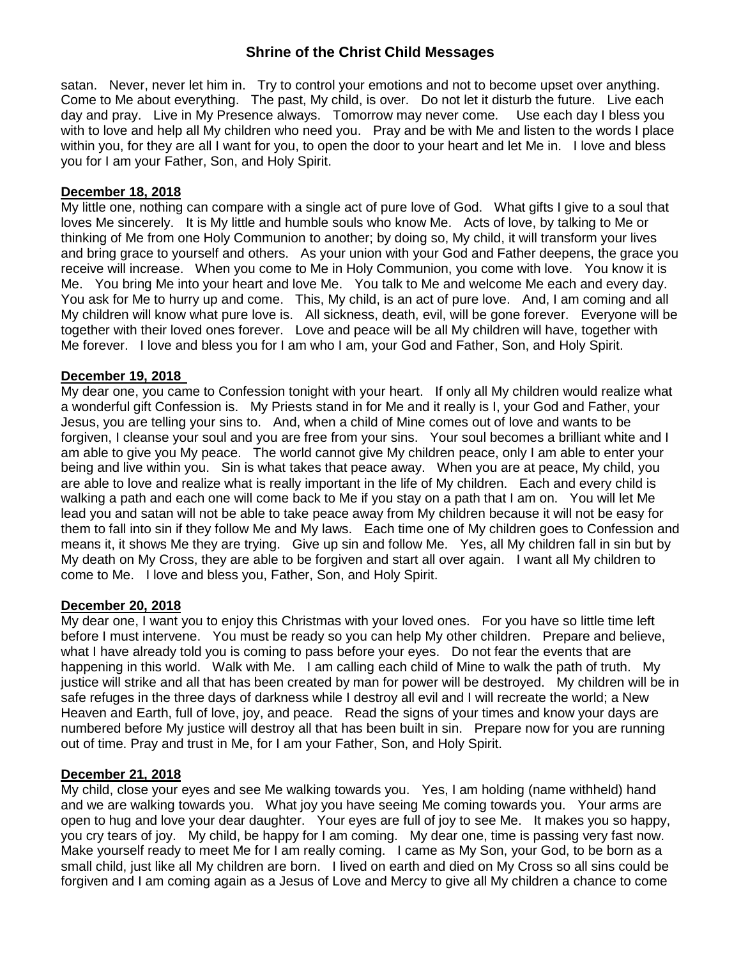satan. Never, never let him in. Try to control your emotions and not to become upset over anything. Come to Me about everything. The past, My child, is over. Do not let it disturb the future. Live each day and pray. Live in My Presence always. Tomorrow may never come. Use each day I bless you with to love and help all My children who need you. Pray and be with Me and listen to the words I place within you, for they are all I want for you, to open the door to your heart and let Me in. I love and bless you for I am your Father, Son, and Holy Spirit.

### **December 18, 2018**

My little one, nothing can compare with a single act of pure love of God. What gifts I give to a soul that loves Me sincerely. It is My little and humble souls who know Me. Acts of love, by talking to Me or thinking of Me from one Holy Communion to another; by doing so, My child, it will transform your lives and bring grace to yourself and others. As your union with your God and Father deepens, the grace you receive will increase. When you come to Me in Holy Communion, you come with love. You know it is Me. You bring Me into your heart and love Me. You talk to Me and welcome Me each and every day. You ask for Me to hurry up and come. This, My child, is an act of pure love. And, I am coming and all My children will know what pure love is. All sickness, death, evil, will be gone forever. Everyone will be together with their loved ones forever. Love and peace will be all My children will have, together with Me forever. I love and bless you for I am who I am, your God and Father, Son, and Holy Spirit.

### **December 19, 2018**

My dear one, you came to Confession tonight with your heart. If only all My children would realize what a wonderful gift Confession is. My Priests stand in for Me and it really is I, your God and Father, your Jesus, you are telling your sins to. And, when a child of Mine comes out of love and wants to be forgiven, I cleanse your soul and you are free from your sins. Your soul becomes a brilliant white and I am able to give you My peace. The world cannot give My children peace, only I am able to enter your being and live within you. Sin is what takes that peace away. When you are at peace, My child, you are able to love and realize what is really important in the life of My children. Each and every child is walking a path and each one will come back to Me if you stay on a path that I am on. You will let Me lead you and satan will not be able to take peace away from My children because it will not be easy for them to fall into sin if they follow Me and My laws. Each time one of My children goes to Confession and means it, it shows Me they are trying. Give up sin and follow Me. Yes, all My children fall in sin but by My death on My Cross, they are able to be forgiven and start all over again. I want all My children to come to Me. I love and bless you, Father, Son, and Holy Spirit.

### **December 20, 2018**

My dear one, I want you to enjoy this Christmas with your loved ones. For you have so little time left before I must intervene. You must be ready so you can help My other children. Prepare and believe, what I have already told you is coming to pass before your eyes. Do not fear the events that are happening in this world. Walk with Me. I am calling each child of Mine to walk the path of truth. My justice will strike and all that has been created by man for power will be destroyed. My children will be in safe refuges in the three days of darkness while I destroy all evil and I will recreate the world; a New Heaven and Earth, full of love, joy, and peace. Read the signs of your times and know your days are numbered before My justice will destroy all that has been built in sin. Prepare now for you are running out of time. Pray and trust in Me, for I am your Father, Son, and Holy Spirit.

### **December 21, 2018**

My child, close your eyes and see Me walking towards you. Yes, I am holding (name withheld) hand and we are walking towards you. What joy you have seeing Me coming towards you. Your arms are open to hug and love your dear daughter. Your eyes are full of joy to see Me. It makes you so happy, you cry tears of joy. My child, be happy for I am coming. My dear one, time is passing very fast now. Make yourself ready to meet Me for I am really coming. I came as My Son, your God, to be born as a small child, just like all My children are born. I lived on earth and died on My Cross so all sins could be forgiven and I am coming again as a Jesus of Love and Mercy to give all My children a chance to come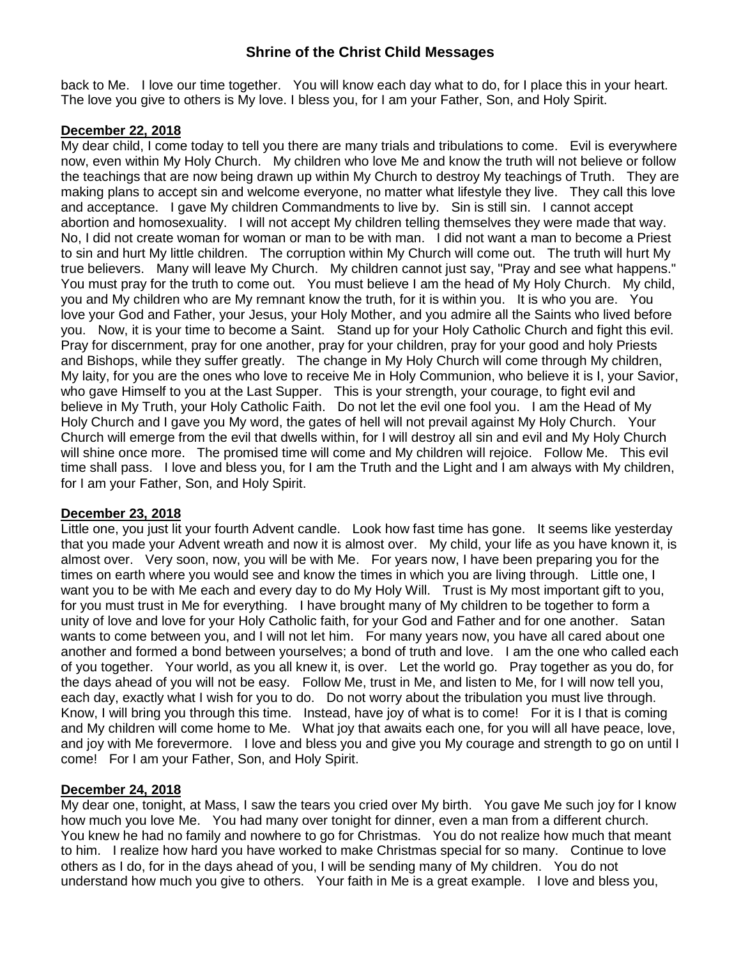back to Me. I love our time together. You will know each day what to do, for I place this in your heart. The love you give to others is My love. I bless you, for I am your Father, Son, and Holy Spirit.

### **December 22, 2018**

My dear child, I come today to tell you there are many trials and tribulations to come. Evil is everywhere now, even within My Holy Church. My children who love Me and know the truth will not believe or follow the teachings that are now being drawn up within My Church to destroy My teachings of Truth. They are making plans to accept sin and welcome everyone, no matter what lifestyle they live. They call this love and acceptance. I gave My children Commandments to live by. Sin is still sin. I cannot accept abortion and homosexuality. I will not accept My children telling themselves they were made that way. No, I did not create woman for woman or man to be with man. I did not want a man to become a Priest to sin and hurt My little children. The corruption within My Church will come out. The truth will hurt My true believers. Many will leave My Church. My children cannot just say, "Pray and see what happens." You must pray for the truth to come out. You must believe I am the head of My Holy Church. My child, you and My children who are My remnant know the truth, for it is within you. It is who you are. You love your God and Father, your Jesus, your Holy Mother, and you admire all the Saints who lived before you. Now, it is your time to become a Saint. Stand up for your Holy Catholic Church and fight this evil. Pray for discernment, pray for one another, pray for your children, pray for your good and holy Priests and Bishops, while they suffer greatly. The change in My Holy Church will come through My children, My laity, for you are the ones who love to receive Me in Holy Communion, who believe it is I, your Savior, who gave Himself to you at the Last Supper. This is your strength, your courage, to fight evil and believe in My Truth, your Holy Catholic Faith. Do not let the evil one fool you. I am the Head of My Holy Church and I gave you My word, the gates of hell will not prevail against My Holy Church. Your Church will emerge from the evil that dwells within, for I will destroy all sin and evil and My Holy Church will shine once more. The promised time will come and My children will rejoice. Follow Me. This evil time shall pass. I love and bless you, for I am the Truth and the Light and I am always with My children, for I am your Father, Son, and Holy Spirit.

### **December 23, 2018**

Little one, you just lit your fourth Advent candle. Look how fast time has gone. It seems like yesterday that you made your Advent wreath and now it is almost over. My child, your life as you have known it, is almost over. Very soon, now, you will be with Me. For years now, I have been preparing you for the times on earth where you would see and know the times in which you are living through. Little one, I want you to be with Me each and every day to do My Holy Will. Trust is My most important gift to you, for you must trust in Me for everything. I have brought many of My children to be together to form a unity of love and love for your Holy Catholic faith, for your God and Father and for one another. Satan wants to come between you, and I will not let him. For many years now, you have all cared about one another and formed a bond between yourselves; a bond of truth and love. I am the one who called each of you together. Your world, as you all knew it, is over. Let the world go. Pray together as you do, for the days ahead of you will not be easy. Follow Me, trust in Me, and listen to Me, for I will now tell you, each day, exactly what I wish for you to do. Do not worry about the tribulation you must live through. Know, I will bring you through this time. Instead, have joy of what is to come! For it is I that is coming and My children will come home to Me. What joy that awaits each one, for you will all have peace, love, and joy with Me forevermore. I love and bless you and give you My courage and strength to go on until I come! For I am your Father, Son, and Holy Spirit.

### **December 24, 2018**

My dear one, tonight, at Mass, I saw the tears you cried over My birth. You gave Me such joy for I know how much you love Me. You had many over tonight for dinner, even a man from a different church. You knew he had no family and nowhere to go for Christmas. You do not realize how much that meant to him. I realize how hard you have worked to make Christmas special for so many. Continue to love others as I do, for in the days ahead of you, I will be sending many of My children. You do not understand how much you give to others. Your faith in Me is a great example. I love and bless you,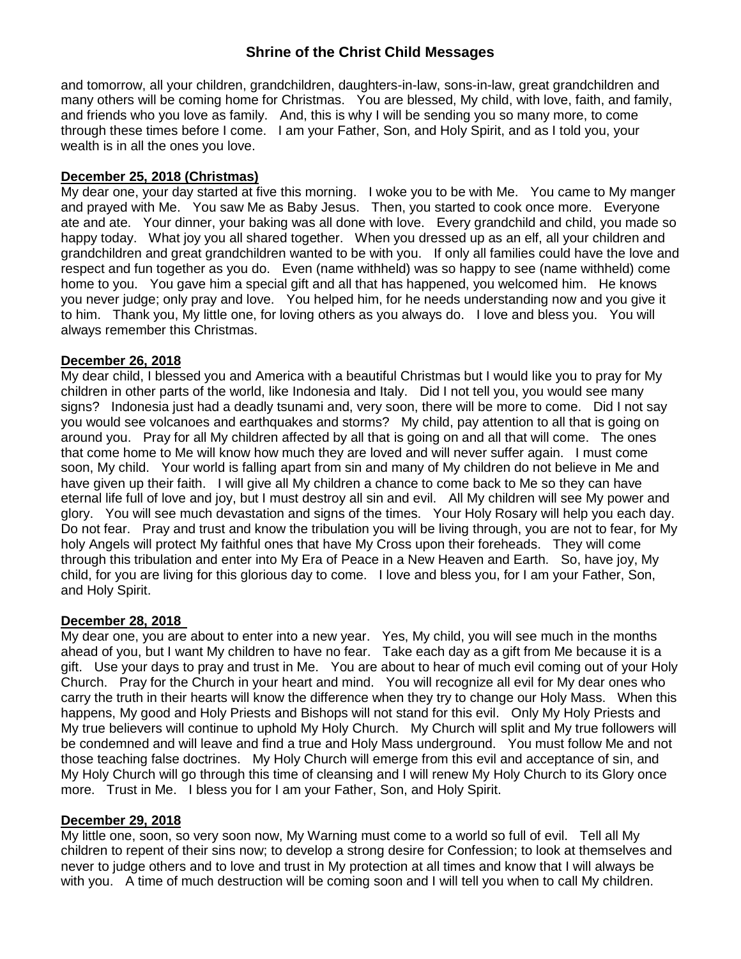and tomorrow, all your children, grandchildren, daughters-in-law, sons-in-law, great grandchildren and many others will be coming home for Christmas. You are blessed, My child, with love, faith, and family, and friends who you love as family. And, this is why I will be sending you so many more, to come through these times before I come. I am your Father, Son, and Holy Spirit, and as I told you, your wealth is in all the ones you love.

### **December 25, 2018 (Christmas)**

My dear one, your day started at five this morning. I woke you to be with Me. You came to My manger and prayed with Me. You saw Me as Baby Jesus. Then, you started to cook once more. Everyone ate and ate. Your dinner, your baking was all done with love. Every grandchild and child, you made so happy today. What joy you all shared together. When you dressed up as an elf, all your children and grandchildren and great grandchildren wanted to be with you. If only all families could have the love and respect and fun together as you do. Even (name withheld) was so happy to see (name withheld) come home to you. You gave him a special gift and all that has happened, you welcomed him. He knows you never judge; only pray and love. You helped him, for he needs understanding now and you give it to him. Thank you, My little one, for loving others as you always do. I love and bless you. You will always remember this Christmas.

### **December 26, 2018**

My dear child, I blessed you and America with a beautiful Christmas but I would like you to pray for My children in other parts of the world, like Indonesia and Italy. Did I not tell you, you would see many signs? Indonesia just had a deadly tsunami and, very soon, there will be more to come. Did I not say you would see volcanoes and earthquakes and storms? My child, pay attention to all that is going on around you. Pray for all My children affected by all that is going on and all that will come. The ones that come home to Me will know how much they are loved and will never suffer again. I must come soon, My child. Your world is falling apart from sin and many of My children do not believe in Me and have given up their faith. I will give all My children a chance to come back to Me so they can have eternal life full of love and joy, but I must destroy all sin and evil. All My children will see My power and glory. You will see much devastation and signs of the times. Your Holy Rosary will help you each day. Do not fear. Pray and trust and know the tribulation you will be living through, you are not to fear, for My holy Angels will protect My faithful ones that have My Cross upon their foreheads. They will come through this tribulation and enter into My Era of Peace in a New Heaven and Earth. So, have joy, My child, for you are living for this glorious day to come. I love and bless you, for I am your Father, Son, and Holy Spirit.

### **December 28, 2018**

My dear one, you are about to enter into a new year. Yes, My child, you will see much in the months ahead of you, but I want My children to have no fear. Take each day as a gift from Me because it is a gift. Use your days to pray and trust in Me. You are about to hear of much evil coming out of your Holy Church. Pray for the Church in your heart and mind. You will recognize all evil for My dear ones who carry the truth in their hearts will know the difference when they try to change our Holy Mass. When this happens, My good and Holy Priests and Bishops will not stand for this evil. Only My Holy Priests and My true believers will continue to uphold My Holy Church. My Church will split and My true followers will be condemned and will leave and find a true and Holy Mass underground. You must follow Me and not those teaching false doctrines. My Holy Church will emerge from this evil and acceptance of sin, and My Holy Church will go through this time of cleansing and I will renew My Holy Church to its Glory once more. Trust in Me. I bless you for I am your Father, Son, and Holy Spirit.

### **December 29, 2018**

My little one, soon, so very soon now, My Warning must come to a world so full of evil. Tell all My children to repent of their sins now; to develop a strong desire for Confession; to look at themselves and never to judge others and to love and trust in My protection at all times and know that I will always be with you. A time of much destruction will be coming soon and I will tell you when to call My children.